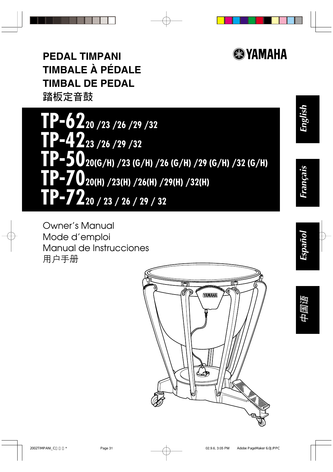

**English**

**Français**

**Español**

**中国语**

**PEDAL TIMPANI TIMBALE À PÉDALE TIMBAL DE PEDAL 踏板定音鼓**

**TP-6220 /23 /26 /29 /32 TP-4223 /26 /29 /32 TP-5020(G/H) /23 (G/H) /26 (G/H) /29 (G/H) /32 (G/H) TP-7020(H) /23(H) /26(H) /29(H) /32(H) TP-7220 / 23 / 26 / 29 / 32**

Owner's Manual Mode d'emploi Manual de Instrucciones 用户手册

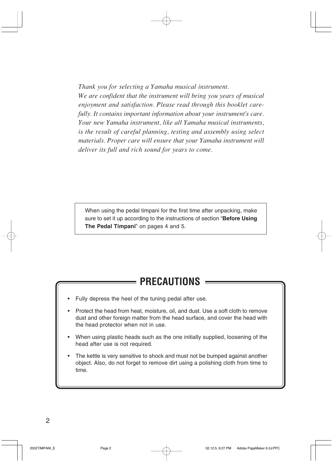*Thank you for selecting a Yamaha musical instrument.*

*We are confident that the instrument will bring you years of musical enjoyment and satisfaction. Please read through this booklet carefully. It contains important information about your instrument's care. Your new Yamaha instrument, like all Yamaha musical instruments, is the result of careful planning, testing and assembly using select materials. Proper care will ensure that your Yamaha instrument will deliver its full and rich sound for years to come.*

When using the pedal timpani for the first time after unpacking, make sure to set it up according to the instructions of section "**Before Using The Pedal Timpani**" on pages 4 and 5.

## **PRECAUTIONS**

- Fully depress the heel of the tuning pedal after use.
- Protect the head from heat, moisture, oil, and dust. Use a soft cloth to remove dust and other foreign matter from the head surface, and cover the head with the head protector when not in use.
- When using plastic heads such as the one initially supplied, loosening of the head after use is not required.
- The kettle is very sensitive to shock and must not be bumped against another object. Also, do not forget to remove dirt using a polishing cloth from time to time.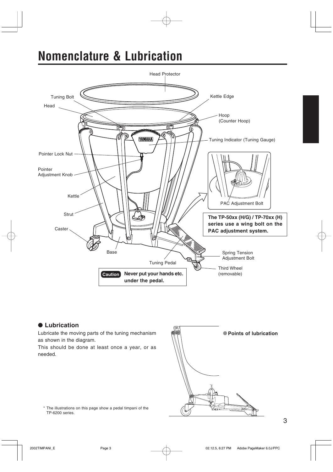# **Nomenclature & Lubrication**



#### ● **Lubrication**

Lubricate the moving parts of the tuning mechanism as shown in the diagram.

This should be done at least once a year, or as needed.



\* The illustrations on this page show a pedal timpani of the TP-6200 series.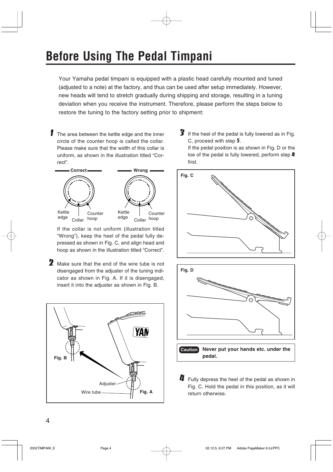# **Before Using The Pedal Timpani**

Your Yamaha pedal timpani is equipped with a plastic head carefully mounted and tuned (adjusted to a note) at the factory, and thus can be used after setup immediately. However, new heads will tend to stretch gradually during shipping and storage, resulting in a tuning deviation when you receive the instrument. Therefore, please perform the steps below to restore the tuning to the factory setting prior to shipment:

**1** The area between the kettle edge and the inner circle of the counter hoop is called the collar. Please make sure that the width of this collar is uniform, as shown in the illustration titled "Correct".



If the collar is not uniform (illustration titled "Wrong"), keep the heel of the pedal fully depressed as shown in Fig. C, and align head and hoop as shown in the illustration titled "Correct".

 $2$  Make sure that the end of the wire tube is not disengaged from the adjuster of the tuning indicator as shown in Fig. A. If it is disengaged, insert it into the adjuster as shown in Fig. B.



 $3$  If the heel of the pedal is fully lowered as in Fig. C, proceed with step 5. If the pedal position is as shown in Fig. D or the toe of the pedal is fully lowered, perform step  $\boldsymbol{I\!I}$ first.





 $\boldsymbol{\mu}$  Fully depress the heel of the pedal as shown in Fig. C. Hold the pedal in this position, as it will return otherwise.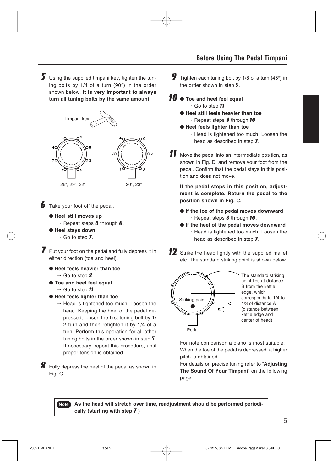$5$  Using the supplied timpani key, tighten the tuning bolts by 1/4 of a turn (90°) in the order shown below. **It is very important to always turn all tuning bolts by the same amount.**



 $\bullet$  Take your foot off the pedal.

- ● **Heel still moves up**
	- $\rightarrow$  Repeat steps **4** through **6**.
- ● **Heel stays down**
	- $\rightarrow$  Go to step **7**.

**7** Put your foot on the pedal and fully depress it in either direction (toe and heel).

- ● **Heel feels heavier than toe**
	- $\rightarrow$  Go to step 8.
- ● **Toe and heel feel equal**
	- $\rightarrow$  Go to step **11**.
- ● **Heel feels lighter than toe**
	- $\rightarrow$  Head is tightened too much. Loosen the head. Keeping the heel of the pedal depressed, loosen the first tuning bolt by 1/ 2 turn and then retighten it by 1/4 of a turn. Perform this operation for all other tuning bolts in the order shown in step 5. If necessary, repeat this procedure, until proper tension is obtained.

 $8$  Fully depress the heel of the pedal as shown in Fig. C.

- **9** Tighten each tuning bolt by 1/8 of a turn (45 $\degree$ ) in the order shown in step 5.
- 10 Toe and heel feel equal
	- $\rightarrow$  Go to step  $\blacksquare$
	- ● **Heel still feels heavier than toe**  $\rightarrow$  Repeat steps **8** through 10
	- ● **Heel feels lighter than toe**
		- $\rightarrow$  Head is tightened too much. Loosen the head as described in step 7.
- 11 Move the pedal into an intermediate position, as shown in Fig. D, and remove your foot from the pedal. Confirm that the pedal stays in this position and does not move.

**If the pedal stops in this position, adjustment is complete. Return the pedal to the position shown in Fig. C.**

- ● **If the toe of the pedal moves downward**  $\rightarrow$  Repeat steps **8** through **10**.
- ● **If the heel of the pedal moves downward**  $\rightarrow$  Head is tightened too much. Loosen the head as described in step 7.
- 12 Strike the head lightly with the supplied mallet etc. The standard striking point is shown below.



The standard striking point lies at distance B from the kettle edge, which corresponds to 1/4 to 1/3 of distance A (distance between kettle edge and center of head).

For note comparison a piano is most suitable. When the toe of the pedal is depressed, a higher pitch is obtained.

For details on precise tuning refer to "**Adjusting The Sound Of Your Timpani**" on the following page.

**Note As the head will stretch over time, readjustment should be performed periodically (starting with step** 7 **)**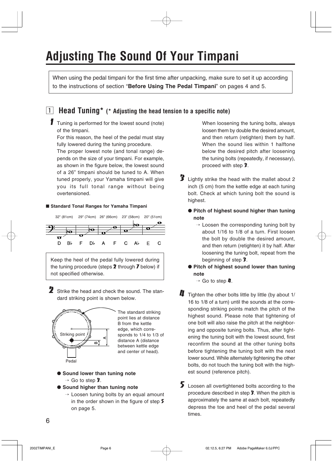# **Adjusting The Sound Of Your Timpani**

When using the pedal timpani for the first time after unpacking, make sure to set it up according to the instructions of section "**Before Using The Pedal Timpani**" on pages 4 and 5.

### z **Head Tuning\* (\* Adjusting the head tension to a specific note)**

**1** Tuning is performed for the lowest sound (note) of the timpani.

For this reason, the heel of the pedal must stay fully lowered during the tuning procedure.

The proper lowest note (and tonal range) depends on the size of your timpani. For example, as shown in the figure below, the lowest sound of a 26" timpani should be tuned to A. When tuned properly, your Yamaha timpani will give you its full tonal range without being overtensioned.

#### ■ Standard Tonal Ranges for Yamaha Timpani



2 Strike the head and check the sound. The standard striking point is shown below.



The standard striking point lies at distance B from the kettle edge, which corresponds to 1/4 to 1/3 of distance A (distance between kettle edge and center of head).

#### ● Sound lower than tuning note  $\rightarrow$  Go to step 3.

- 
- ● **Sound higher than tuning note**
	- $\rightarrow$  Loosen tuning bolts by an equal amount in the order shown in the figure of step 5 on page 5.

When loosening the tuning bolts, always loosen them by double the desired amount, and then return (retighten) them by half. When the sound lies within 1 halftone below the desired pitch after loosening the tuning bolts (repeatedly, if necessary), proceed with step 3.

- 3 Lightly strike the head with the mallet about 2 inch (5 cm) from the kettle edge at each tuning bolt. Check at which tuning bolt the sound is highest.
	- **Pitch of highest sound higher than tuning note**
		- $\rightarrow$  Loosen the corresponding tuning bolt by about 1/16 to 1/8 of a turn. First loosen the bolt by double the desired amount, and then return (retighten) it by half. After loosening the tuning bolt, repeat from the beginning of step 3.
	- **Pitch of highest sound lower than tuning note**
		- $\rightarrow$  Go to step  $\mu$ .
- $\boldsymbol{I}$  Tighten the other bolts little by little (by about 1/ 16 to 1/8 of a turn) until the sounds at the corresponding striking points match the pitch of the highest sound. Please note that tightening of one bolt will also raise the pitch at the neighboring and opposite tuning bolts. Thus, after tightening the tuning bolt with the lowest sound, first reconfirm the sound at the other tuning bolts before tightening the tuning bolt with the next lower sound. While alternately tightening the other bolts, do not touch the tuning bolt with the highest sound (reference pitch).
- 5 Loosen all overtightened bolts according to the procedure described in step 3. When the pitch is approximately the same at each bolt, repeatedly depress the toe and heel of the pedal several times.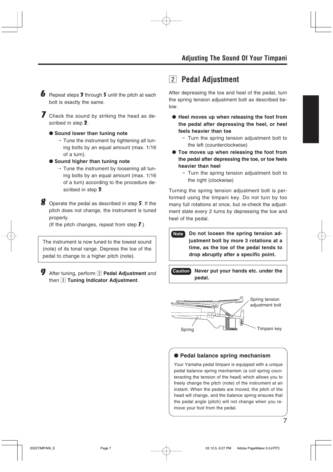- **6** Repeat steps  $\hat{\mathbf{z}}$  through  $\hat{\mathbf{z}}$  until the pitch at each bolt is exactly the same.
- **7** Check the sound by striking the head as described in step 2.
	- **Sound lower than tuning note**
		- $\rightarrow$  Tune the instrument by tightening all tuning bolts by an equal amount (max. 1/16 of a turn).
	- **Sound higher than tuning note**
		- $\rightarrow$  Tune the instrument by loosening all tuning bolts by an equal amount (max. 1/16 of a turn) according to the procedure described in step 3.

8 Operate the pedal as described in step 5. If the pitch does not change, the instrument is tuned properly.

(If the pitch changes, repeat from step  $\overline{J}$ .)

The instrument is now tuned to the lowest sound (note) of its tonal range. Depress the toe of the pedal to change to a higher pitch (note).

**9** After tuning, perform 2 **Pedal Adjustment** and then 3 Tuning Indicator Adjustment.

## **2** Pedal Adjustment

After depressing the toe and heel of the pedal, turn the spring tension adjustment bolt as described below.

- **Heel moves up when releasing the foot from the pedal after depressing the heel, or heel feels heavier than toe**
	- $\rightarrow$  Turn the spring tension adjustment bolt to the left (counterclockwise)
- **Toe moves up when releasing the foot from the pedal after depressing the toe, or toe feels heavier than heel**
	- $\rightarrow$  Turn the spring tension adjustment bolt to the right (clockwise)

Turning the spring tension adjustment bolt is performed using the timpani key. Do not turn by too many full rotations at once, but re-check the adjustment state every 2 turns by depressing the toe and heel of the pedal.

**Note Do not loosen the spring tension adjustment bolt by more 3 rotations at a time, as the toe of the pedal tends to drop abruptly after a specific point.**

**Caution Never put your hands etc. under the pedal.**



#### ● **Pedal balance spring mechanism**

Your Yamaha pedal timpani is equipped with a unique pedal balance spring mechanism (a coil spring counteracting the tension of the head) which allows you to freely change the pitch (note) of the instrument at an instant. When the pedals are moved, the pitch of the head will change, and the balance spring ensures that the pedal angle (pitch) will not change when you remove your foot from the pedal.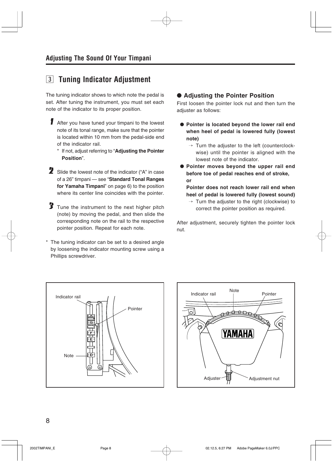## **3** Tuning Indicator Adjustment

The tuning indicator shows to which note the pedal is set. After tuning the instrument, you must set each note of the indicator to its proper position.

- 1 After you have tuned your timpani to the lowest note of its tonal range, make sure that the pointer is located within 10 mm from the pedal-side end of the indicator rail.
	- \* If not, adjust referring to "**Adjusting the Pointer Position**".
- 2 Slide the lowest note of the indicator ("A" in case of a 26" timpani — see "**Standard Tonal Ranges for Yamaha Timpani**" on page 6) to the position where its center line coincides with the pointer.
- 3 Tune the instrument to the next higher pitch (note) by moving the pedal, and then slide the corresponding note on the rail to the respective pointer position. Repeat for each note.
- The tuning indicator can be set to a desired angle by loosening the indicator mounting screw using a Phillips screwdriver.

### ● Adjusting the Pointer Position

First loosen the pointer lock nut and then turn the adjuster as follows:

- **Pointer is located beyond the lower rail end when heel of pedal is lowered fully (lowest note)**
	- $\rightarrow$  Turn the adjuster to the left (counterclockwise) until the pointer is aligned with the lowest note of the indicator.
- **Pointer moves beyond the upper rail end before toe of pedal reaches end of stroke, or**

**Pointer does not reach lower rail end when heel of pedal is lowered fully (lowest sound)**

 $\rightarrow$  Turn the adjuster to the right (clockwise) to correct the pointer position as required.

After adjustment, securely tighten the pointer lock nut.



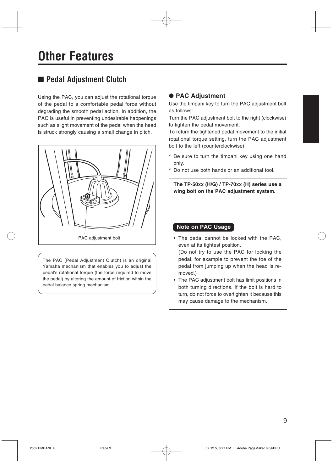## ■ Pedal Adjustment Clutch

Using the PAC, you can adjust the rotational torque of the pedal to a comfortable pedal force without degrading the smooth pedal action. In addition, the PAC is useful in preventing undesirable happenings such as slight movement of the pedal when the head is struck strongly causing a small change in pitch.



The PAC (Pedal Adjustment Clutch) is an original Yamaha mechanism that enables you to adjust the pedal's rotational torque (the force required to move the pedal) by altering the amount of friction within the pedal balance spring mechanism.

### ● **PAC Adjustment**

Use the timpani key to turn the PAC adjustment bolt as follows:

Turn the PAC adjustment bolt to the right (clockwise) to tighten the pedal movement.

To return the tightened pedal movement to the initial rotational torque setting, turn the PAC adjustment bolt to the left (counterclockwise).

- \* Be sure to turn the timpani key using one hand only.
- \* Do not use both hands or an additional tool.

**The TP-50xx (H/G) / TP-70xx (H) series use a wing bolt on the PAC adjustment system.**

### **Note on PAC Usage**

• The pedal cannot be locked with the PAC, even at its tightest position.

(Do not try to use the PAC for locking the pedal, for example to prevent the toe of the pedal from jumping up when the head is removed.)

• The PAC adjustment bolt has limit positions in both turning directions. If the bolt is hard to turn, do not force to overtighten it because this may cause damage to the mechanism.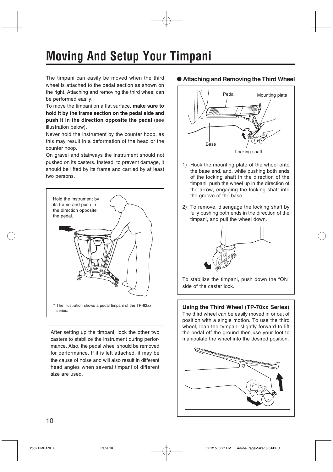# **Moving And Setup Your Timpani**

The timpani can easily be moved when the third wheel is attached to the pedal section as shown on the right. Attaching and removing the third wheel can be performed easily.

To move the timpani on a flat surface, **make sure to hold it by the frame section on the pedal side and push it in the direction opposite the pedal** (see illustration below).

Never hold the instrument by the counter hoop, as this may result in a deformation of the head or the counter hoop.

On gravel and stairways the instrument should not pushed on its casters. Instead, to prevent damage, it should be lifted by its frame and carried by at least two persons.



After setting up the timpani, lock the other two casters to stabilize the instrument during performance. Also, the pedal wheel should be removed for performance. If it is left attached, it may be the cause of noise and will also result in different head angles when several timpani of different size are used.

### ● **Attaching and Removing the Third Wheel**



- 1) Hook the mounting plate of the wheel onto the base end, and, while pushing both ends of the locking shaft in the direction of the timpani, push the wheel up in the direction of the arrow, engaging the locking shaft into the groove of the base.
- 2) To remove, disengage the locking shaft by fully pushing both ends in the direction of the timpani, and pull the wheel down.



To stabilize the timpani, push down the "ON" side of the caster lock.

### **Using the Third Wheel (TP-70xx Series)**

The third wheel can be easily moved in or out of position with a single motion. To use the third wheel, lean the tympani slightly forward to lift the pedal off the ground then use your foot to manipulate the wheel into the desired position.